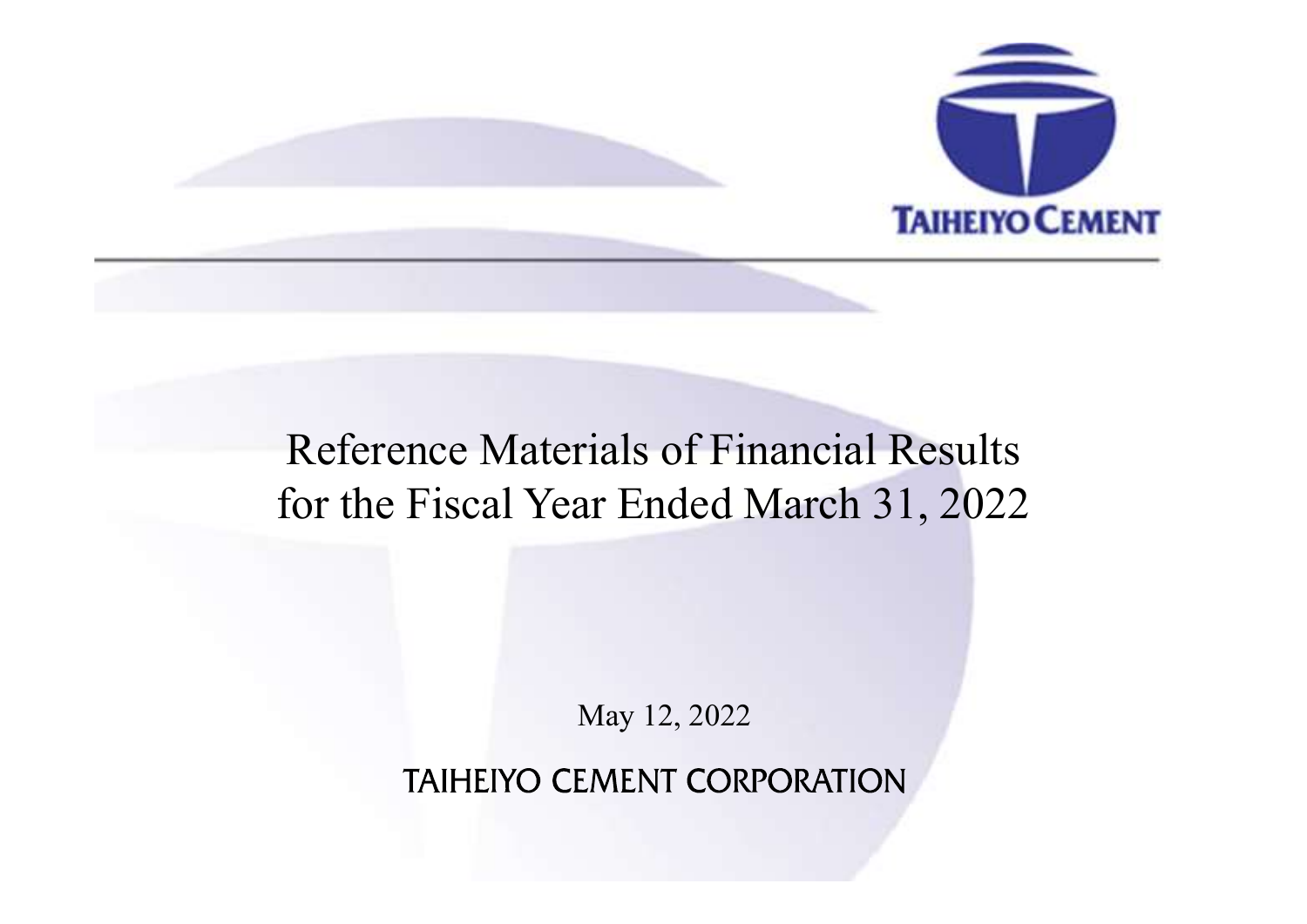

# Reference Materials of Financial Results for the Fiscal Year Ended March 31, 2022

May 12, 2022

**TAIHEIYO CEMENT CORPORATION**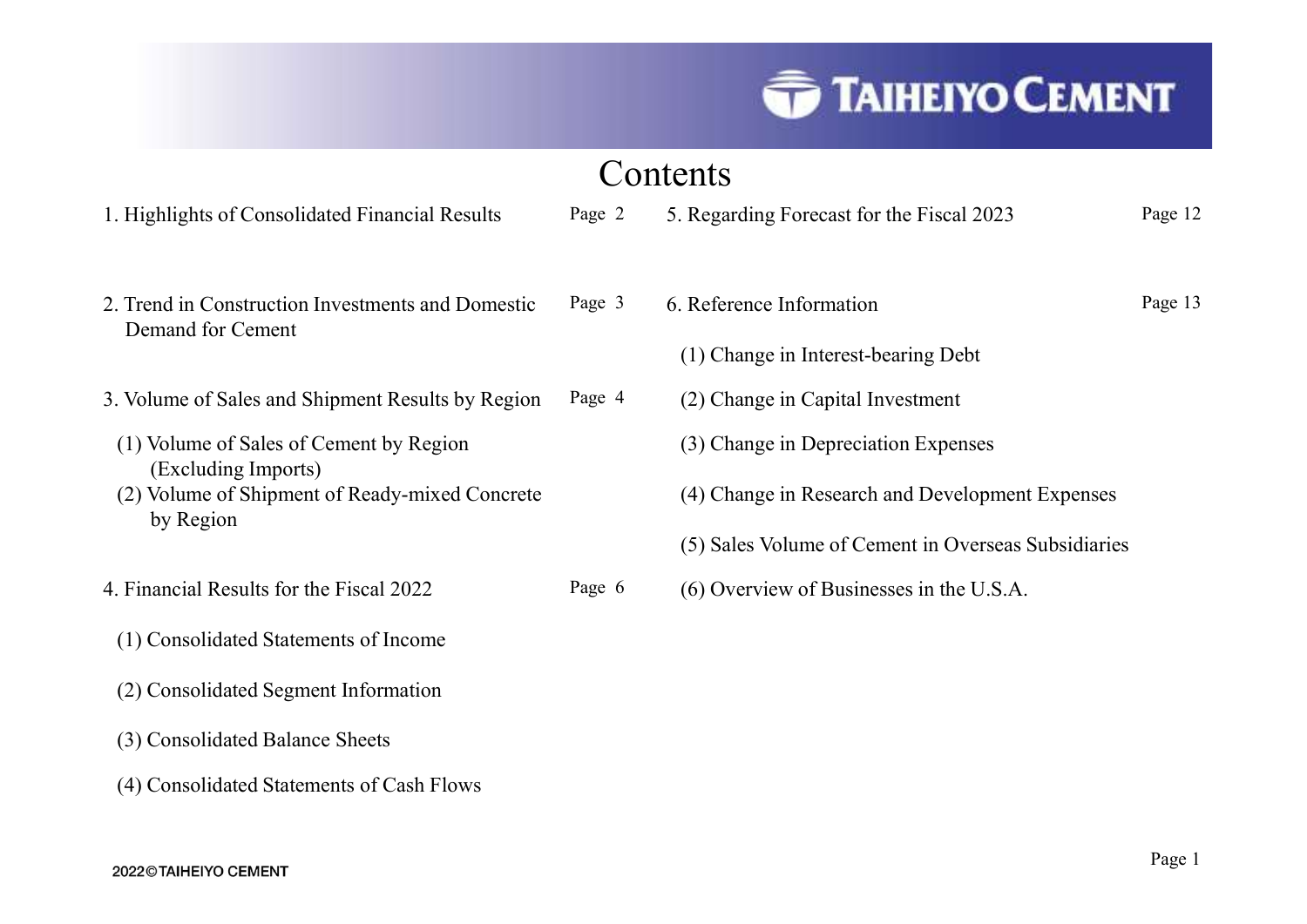## Contents

- 
- 2. Trend in Construction Investments and Domestic Demand for Cement COT<br>
Highlights of Consolidated Financial Results<br>
Page 2<br>
Trend in Construction Investments and Domestic<br>
Page 3<br>
Demand for Cement<br>
Volume of Sales and Shipment Results by Region<br>
Page 4<br>
(1) Volume of Sales of Cement by Continuis Englished Consolidated Financial Results<br>
Page 2<br>
Trend in Construction Investments and Domestic Page 3<br>
Demand for Cement<br>
Volume of Sales and Shipment Results by Region<br>
Page 4<br>
(1) Volume of Sales of Cement by **Conternal Consolidated Financial Results**<br>
Page 2 5.<br>
And in Construction Investments and Domestic Page 3 6.<br>
Anand for Cement (1990)<br>
Universe of Sales and Shipment Results by Region Page 4 (1990)<br>
Universe of Sales of C Trend in Construction Investments and Domestic Page 3<br>
Demand for Cement<br>
Volume of Sales and Shipment Results by Region Page 4<br>
(1) Volume of Sales of Cement by Region<br>
(Excluding Imports)<br>
(2) Volume of Shipment of Ready Trend in Construction Investments and Domestic Page 3 6.<br>
Demand for Cement (1)<br>
Volume of Sales and Shipment Results by Region Page 4 (1)<br>
Volume of Sales of Cement by Region (Excluding Imports)<br>
(2) Volume of Shipment of
- 
- (Excluding Imports)
- Volume of Sales and Shipment Results by Region Page 4<br>
(1) Volume of Sales of Cement by Region<br>
(Excluding Imports)<br>
(2) Volume of Shipment of Ready-mixed Concrete<br>
by Region<br>
Financial Results for the Fiscal 2022 Page 6<br> Volume of Sales and Shipment Results by Region Page 4<br>
(1) Volume of Sales of Cement by Region<br>
(Excluding Imports)<br>
(2) Volume of Shipment of Ready-mixed Concrete<br>
by Region<br>
Financial Results for the Fiscal 2022 Page 6<br>
- 
- 
- 
- 
- 

|                                                                        |        | <b>TAIHEIYO CEMENT</b>                              |         |  |
|------------------------------------------------------------------------|--------|-----------------------------------------------------|---------|--|
|                                                                        |        | Contents                                            |         |  |
| 1. Highlights of Consolidated Financial Results                        | Page 2 | 5. Regarding Forecast for the Fiscal 2023           | Page 12 |  |
| 2. Trend in Construction Investments and Domestic<br>Demand for Cement | Page 3 | 6. Reference Information                            | Page 13 |  |
|                                                                        |        | (1) Change in Interest-bearing Debt                 |         |  |
| 3. Volume of Sales and Shipment Results by Region                      | Page 4 | (2) Change in Capital Investment                    |         |  |
| (1) Volume of Sales of Cement by Region<br>(Excluding Imports)         |        | (3) Change in Depreciation Expenses                 |         |  |
| (2) Volume of Shipment of Ready-mixed Concrete                         |        | (4) Change in Research and Development Expenses     |         |  |
| by Region                                                              |        | (5) Sales Volume of Cement in Overseas Subsidiaries |         |  |
| 4. Financial Results for the Fiscal 2022                               | Page 6 | (6) Overview of Businesses in the U.S.A.            |         |  |
| (1) Consolidated Statements of Income                                  |        |                                                     |         |  |
|                                                                        |        |                                                     |         |  |
| (2) Consolidated Segment Information                                   |        |                                                     |         |  |

- 
- (4) Change in Research and Development Expenses
- 
-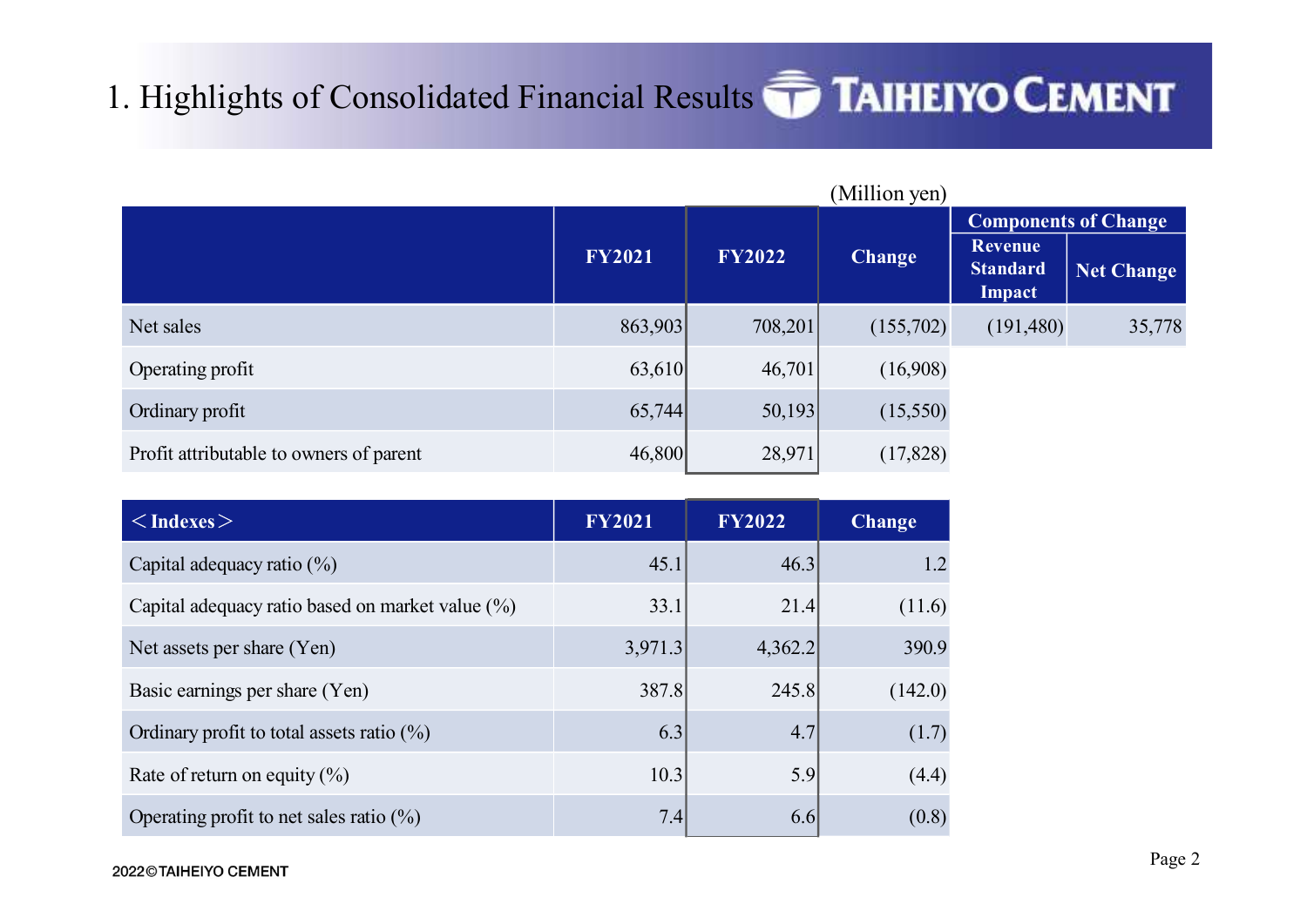# 1. Highlights of Consolidated Financial Results **TAIHEIYO CEMENT**

| . Highlights of Consolidated Financial Results <b>TAIHEIYO CEMENT</b> |               |               |               |                                             |                                           |
|-----------------------------------------------------------------------|---------------|---------------|---------------|---------------------------------------------|-------------------------------------------|
|                                                                       |               |               | (Million yen) |                                             |                                           |
|                                                                       | <b>FY2021</b> | <b>FY2022</b> | <b>Change</b> | <b>Revenue</b><br><b>Standard</b><br>Impact | <b>Components of Change</b><br>Net Change |
| Net sales                                                             | 863,903       | 708,201       | (155,702)     | (191,480)                                   | 35,778                                    |
| Operating profit                                                      | 63,610        | 46,701        | (16,908)      |                                             |                                           |
| Ordinary profit                                                       | 65,744        | 50,193        | (15,550)      |                                             |                                           |
| Profit attributable to owners of parent                               | 46,800        | 28,971        | (17, 828)     |                                             |                                           |
| $\langle$ Indexes                                                     | <b>FY2021</b> | <b>FY2022</b> | <b>Change</b> |                                             |                                           |
| Capital adequacy ratio $(\%)$                                         | 45.1          | 46.3          | 1.2           |                                             |                                           |
| Capital adequacy ratio based on market value (%)                      | 33.1          | 21.4          | (11.6)        |                                             |                                           |
| Net assets per share (Yen)                                            | 3,971.3       | 4,362.2       | 390.9         |                                             |                                           |
| Basic earnings per share (Yen)                                        | 387.8         | 245.8         | (142.0)       |                                             |                                           |
| Ordinary profit to total assets ratio $(\%)$                          | 6.3           | 4.7           | (1.7)         |                                             |                                           |
|                                                                       |               |               |               |                                             |                                           |

|                                                  |               |               |               | Impact    |        |
|--------------------------------------------------|---------------|---------------|---------------|-----------|--------|
| Net sales                                        | 863,903       | 708,201       | (155,702)     | (191,480) | 35,778 |
| Operating profit                                 | 63,610        | 46,701        | (16,908)      |           |        |
| Ordinary profit                                  | 65,744        | 50,193        | (15,550)      |           |        |
| Profit attributable to owners of parent          | 46,800        | 28,971        | (17,828)      |           |        |
|                                                  |               |               |               |           |        |
| $<$ Indexes $>$                                  | <b>FY2021</b> | <b>FY2022</b> | <b>Change</b> |           |        |
| Capital adequacy ratio (%)                       | 45.1          | 46.3          | 1.2           |           |        |
| Capital adequacy ratio based on market value (%) | 33.1          | 21.4          | (11.6)        |           |        |
| Net assets per share (Yen)                       | 3,971.3       | 4,362.2       | 390.9         |           |        |
| Basic earnings per share (Yen)                   | 387.8         | 245.8         | (142.0)       |           |        |
| Ordinary profit to total assets ratio $(\%)$     | 6.3           | 4.7           | (1.7)         |           |        |
| Rate of return on equity $(\%)$                  | 10.3          | 5.9           | (4.4)         |           |        |
| Operating profit to net sales ratio $(\%)$       | 7.4           | 6.6           | (0.8)         |           |        |
| 022©TAIHEIYO CEMENT                              |               |               |               |           | Page 2 |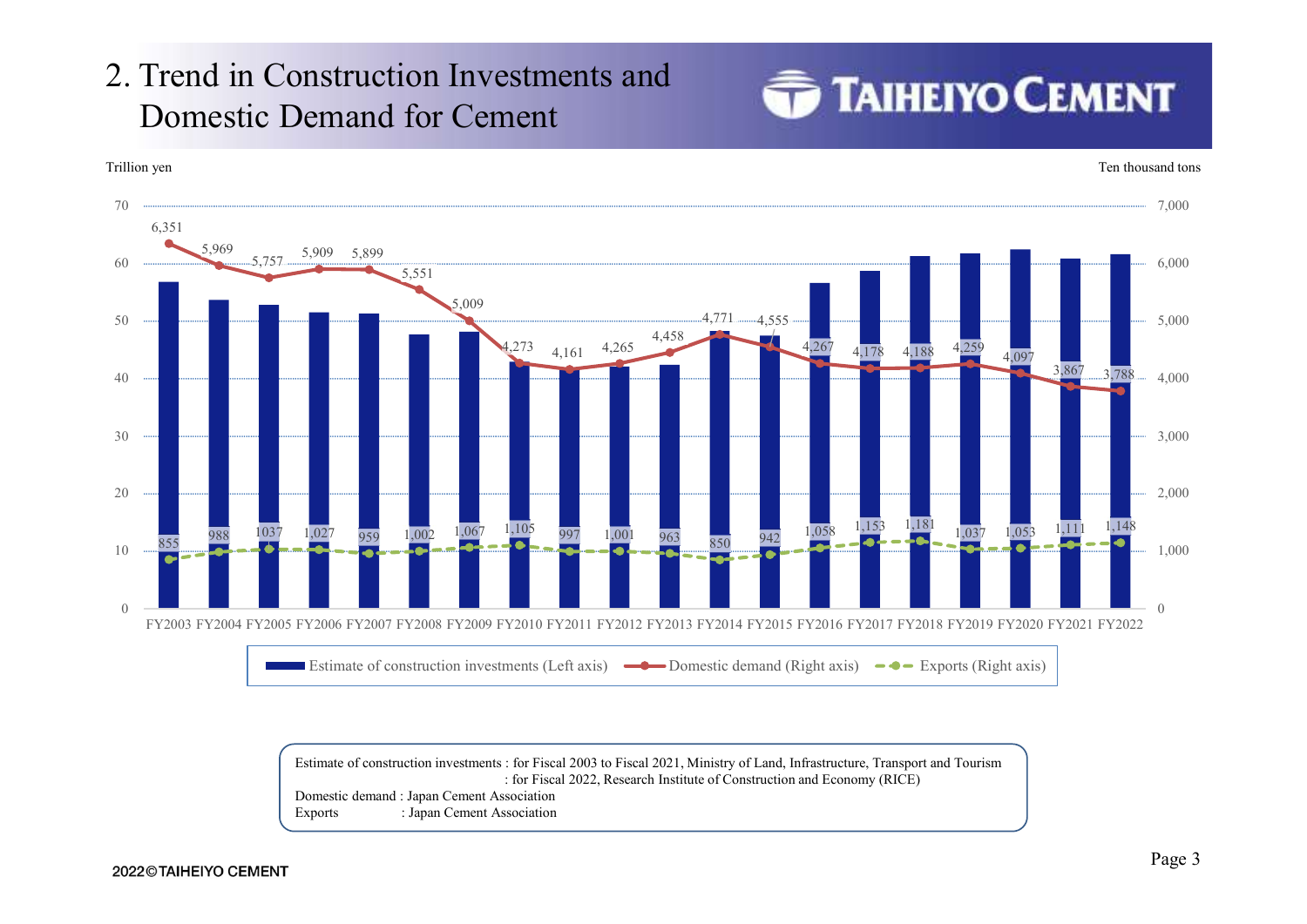# 2. Trend in Construction Investments and<br>Domestic Demand for Cement Domestic Demand for Cement





Estimate of construction investments : for Fiscal 2003 to Fiscal 2021, Ministry of Land, Infrastructure, Transport and Tourism Domestic demand : Japan Cement Association Exports : Japan Cement Association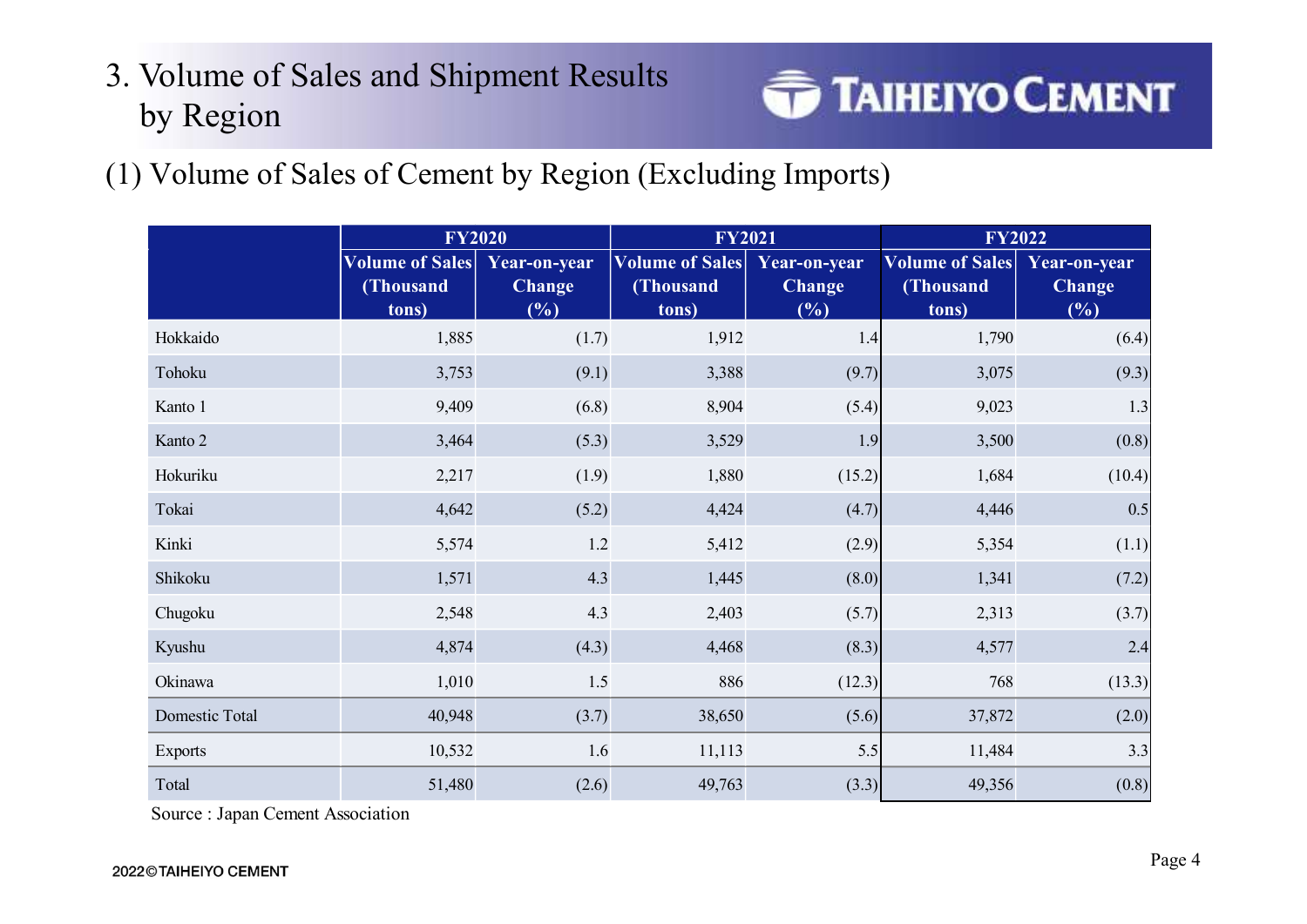# 3. Volume of Sales and Shipment Results<br>
by Pegion by Region



(1) Volume of Sales of Cement by Region (Excluding Imports)

|                | <b>FY2020</b><br><b>Volume of Sales</b><br>(Thousand<br>tons) | Year-on-year<br><b>Change</b><br>(%) | <b>FY2021</b><br><b>Volume of Sales</b><br>(Thousand<br>tons) | Year-on-year<br><b>Change</b><br>(%) | <b>FY2022</b><br><b>Volume of Sales</b><br>(Thousand<br>tons) | Year-on-year<br><b>Change</b><br>(%) |
|----------------|---------------------------------------------------------------|--------------------------------------|---------------------------------------------------------------|--------------------------------------|---------------------------------------------------------------|--------------------------------------|
| Hokkaido       | 1,885                                                         | (1.7)                                | 1,912                                                         | 1.4                                  | 1,790                                                         | (6.4)                                |
| Tohoku         | 3,753                                                         | (9.1)                                | 3,388                                                         | (9.7)                                | 3,075                                                         | (9.3)                                |
| Kanto 1        | 9,409                                                         | (6.8)                                | 8,904                                                         | (5.4)                                | 9,023                                                         | 1.3                                  |
| Kanto 2        | 3,464                                                         | (5.3)                                | 3,529                                                         | 1.9                                  | 3,500                                                         | (0.8)                                |
| Hokuriku       | 2,217                                                         | (1.9)                                | 1,880                                                         | (15.2)                               | 1,684                                                         | (10.4)                               |
| Tokai          | 4,642                                                         | (5.2)                                | 4,424                                                         | (4.7)                                | 4,446                                                         | 0.5                                  |
| Kinki          | 5,574                                                         | 1.2                                  | 5,412                                                         | (2.9)                                | 5,354                                                         | (1.1)                                |
| Shikoku        | 1,571                                                         | 4.3                                  | 1,445                                                         | (8.0)                                | 1,341                                                         | (7.2)                                |
| Chugoku        | 2,548                                                         | 4.3                                  | 2,403                                                         | (5.7)                                | 2,313                                                         | (3.7)                                |
| Kyushu         | 4,874                                                         | (4.3)                                | 4,468                                                         | (8.3)                                | 4,577                                                         | 2.4                                  |
| Okinawa        | 1,010                                                         | $1.5$                                | 886                                                           | (12.3)                               | 768                                                           | (13.3)                               |
| Domestic Total | 40,948                                                        | (3.7)                                | 38,650                                                        | (5.6)                                | 37,872                                                        | (2.0)                                |
| Exports        | 10,532                                                        | 1.6                                  | 11,113                                                        | 5.5                                  | 11,484                                                        | 3.3                                  |
| Total          | 51,480                                                        | (2.6)                                | 49,763                                                        | (3.3)                                | 49,356                                                        | (0.8)                                |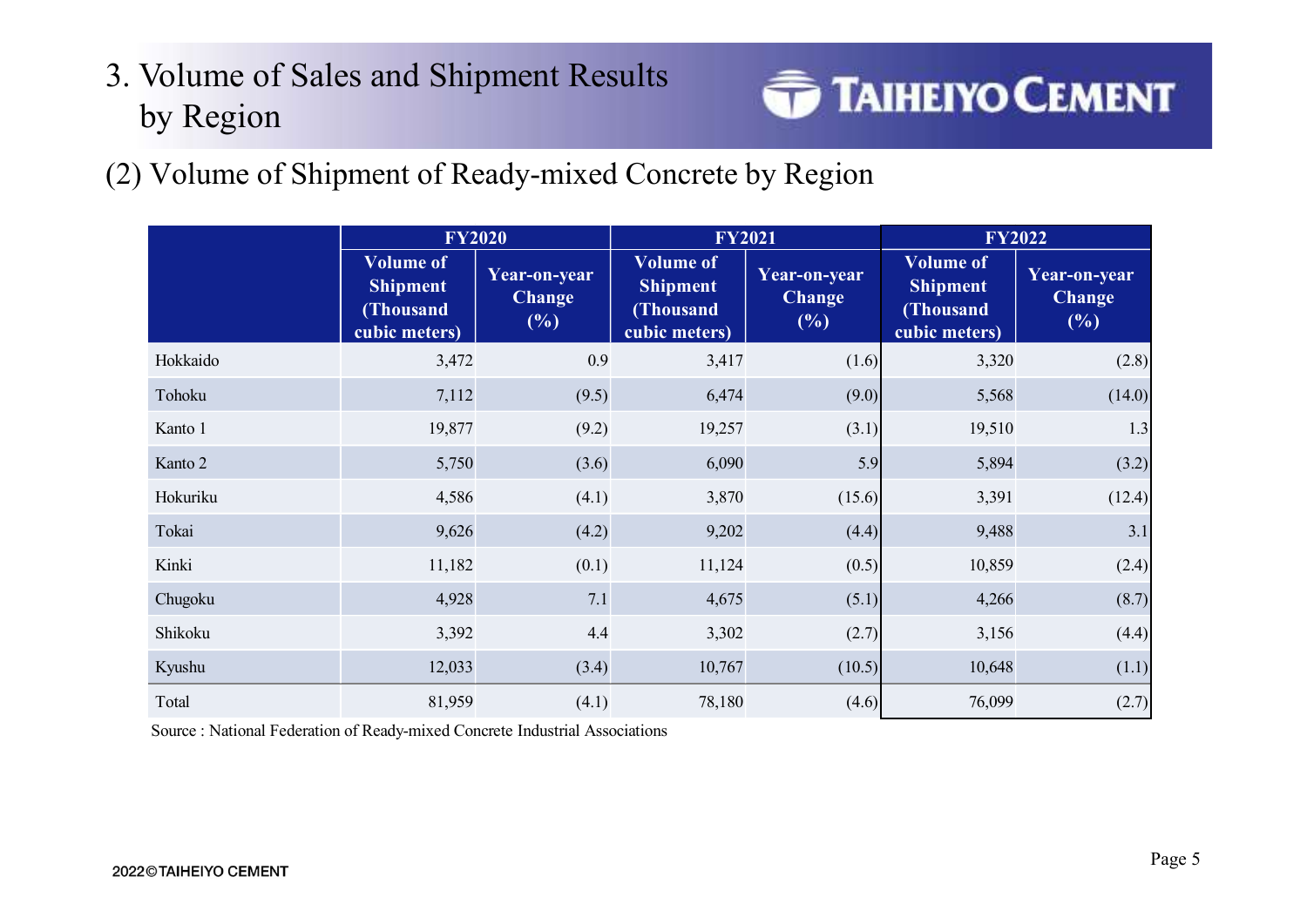# 3. Volume of Sales and Shipment Results<br>
by Persian by Region



(2) Volume of Shipment of Ready-mixed Concrete by Region

| by Region<br>Volume of Shipment of Ready-mixed Concrete by Region |                                                                   |                                      |                                                                   |                                         |                                                                   |                                      |
|-------------------------------------------------------------------|-------------------------------------------------------------------|--------------------------------------|-------------------------------------------------------------------|-----------------------------------------|-------------------------------------------------------------------|--------------------------------------|
|                                                                   |                                                                   |                                      |                                                                   |                                         |                                                                   | <b>TAIHEIYO CEMENT</b>               |
|                                                                   |                                                                   |                                      |                                                                   |                                         |                                                                   |                                      |
|                                                                   |                                                                   |                                      |                                                                   |                                         |                                                                   |                                      |
|                                                                   | <b>FY2020</b>                                                     |                                      | <b>FY2021</b>                                                     |                                         | <b>FY2022</b>                                                     |                                      |
|                                                                   | <b>Volume of</b><br><b>Shipment</b><br>(Thousand<br>cubic meters) | Year-on-year<br><b>Change</b><br>(%) | <b>Volume of</b><br><b>Shipment</b><br>(Thousand<br>cubic meters) | Year-on-year<br><b>Change</b><br>$(\%)$ | <b>Volume of</b><br><b>Shipment</b><br>(Thousand<br>cubic meters) | Year-on-year<br><b>Change</b><br>(%) |
| Hokkaido                                                          | 3,472                                                             | 0.9                                  | 3,417                                                             | (1.6)                                   | 3,320                                                             | (2.8)                                |
| Tohoku                                                            | 7,112                                                             | (9.5)                                | 6,474                                                             | (9.0)                                   | 5,568                                                             | (14.0)                               |
| Kanto 1                                                           | 19,877                                                            | (9.2)                                | 19,257                                                            | (3.1)                                   | 19,510                                                            | 1.3                                  |
| Kanto 2                                                           | 5,750                                                             | (3.6)                                | 6,090                                                             | 5.9                                     | 5,894                                                             | (3.2)                                |
| Hokuriku                                                          | 4,586                                                             | (4.1)                                | 3,870                                                             | (15.6)                                  | 3,391                                                             | (12.4)                               |
| Tokai                                                             | 9,626                                                             | (4.2)                                | 9,202                                                             | (4.4)                                   | 9,488                                                             | 3.1                                  |
| Kinki                                                             | 11,182                                                            | (0.1)                                | 11,124                                                            | (0.5)                                   | 10,859                                                            | (2.4)                                |
| Chugoku                                                           | 4,928                                                             | 7.1                                  | 4,675                                                             | (5.1)                                   | 4,266                                                             | (8.7)                                |
| Shikoku                                                           | 3,392                                                             | 4.4                                  | 3,302                                                             | (2.7)                                   | 3,156                                                             | (4.4)                                |
| Kyushu                                                            | 12,033                                                            | (3.4)                                | 10,767                                                            | (10.5)                                  | 10,648                                                            | (1.1)                                |
|                                                                   | 81,959                                                            | (4.1)                                | 78,180                                                            | (4.6)                                   | 76,099                                                            | (2.7)                                |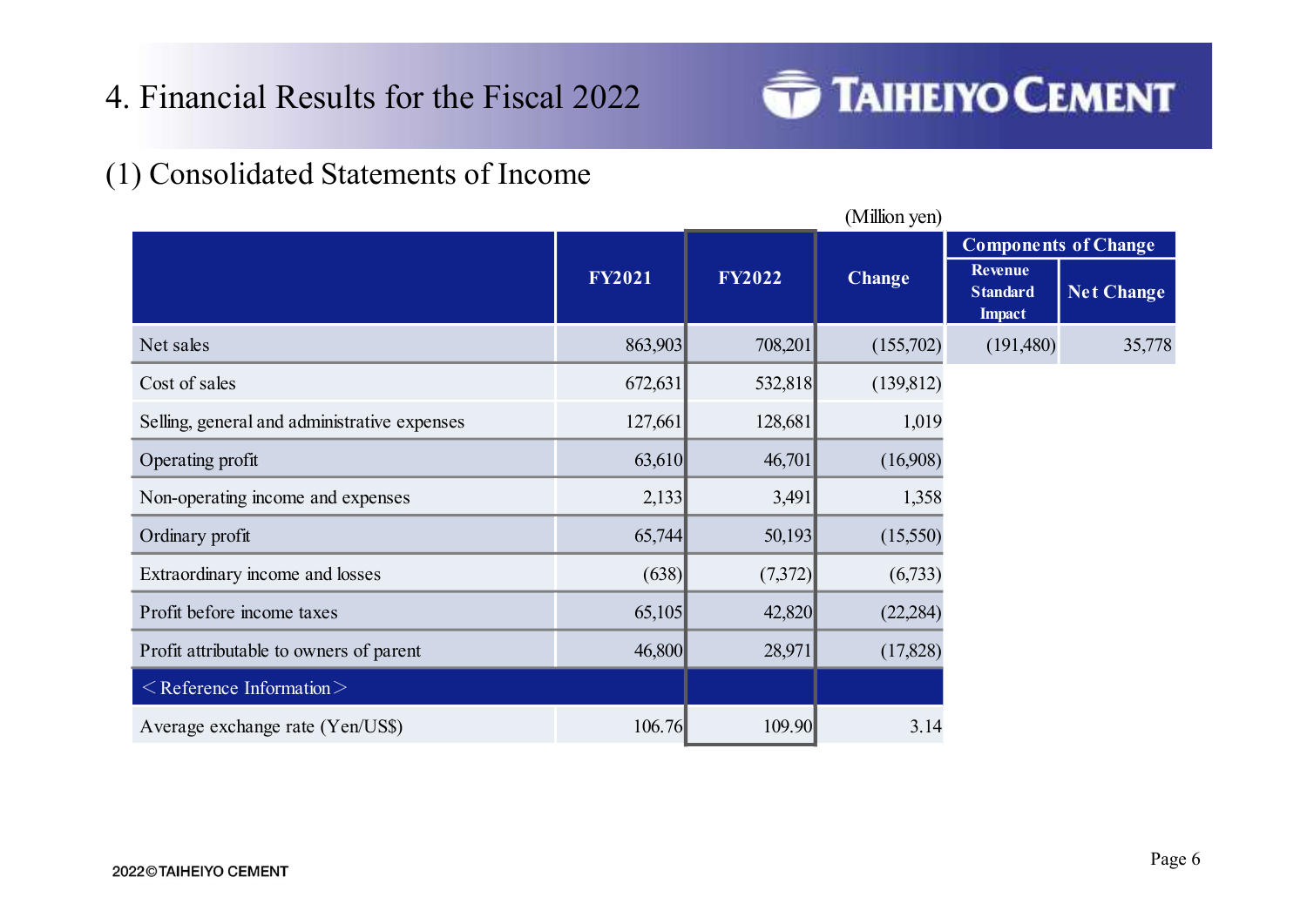

| (1) Consolidated Statements of Income        |               |               |               |                                             |                                           |
|----------------------------------------------|---------------|---------------|---------------|---------------------------------------------|-------------------------------------------|
|                                              |               |               | (Million yen) |                                             |                                           |
|                                              | <b>FY2021</b> | <b>FY2022</b> | <b>Change</b> | Revenue<br><b>Standard</b><br><b>Impact</b> | <b>Components of Change</b><br>Net Change |
| Net sales                                    | 863,903       | 708,201       | (155,702)     | (191,480)                                   | 35,778                                    |
| Cost of sales                                | 672,631       | 532,818       | (139, 812)    |                                             |                                           |
| Selling, general and administrative expenses | 127,661       | 128,681       | 1,019         |                                             |                                           |
| Operating profit                             | 63,610        | 46,701        | (16,908)      |                                             |                                           |
| Non-operating income and expenses            | 2,133         | 3,491         | 1,358         |                                             |                                           |
| Ordinary profit                              | 65,744        | 50,193        | (15,550)      |                                             |                                           |
| Extraordinary income and losses              | (638)         | (7,372)       | (6,733)       |                                             |                                           |
| Profit before income taxes                   | 65,105        | 42,820        | (22, 284)     |                                             |                                           |
| Profit attributable to owners of parent      | 46,800        | 28,971        | (17, 828)     |                                             |                                           |
| $\leq$ Reference Information $\geq$          |               |               |               |                                             |                                           |
|                                              |               | 109.90        | 3.14          |                                             |                                           |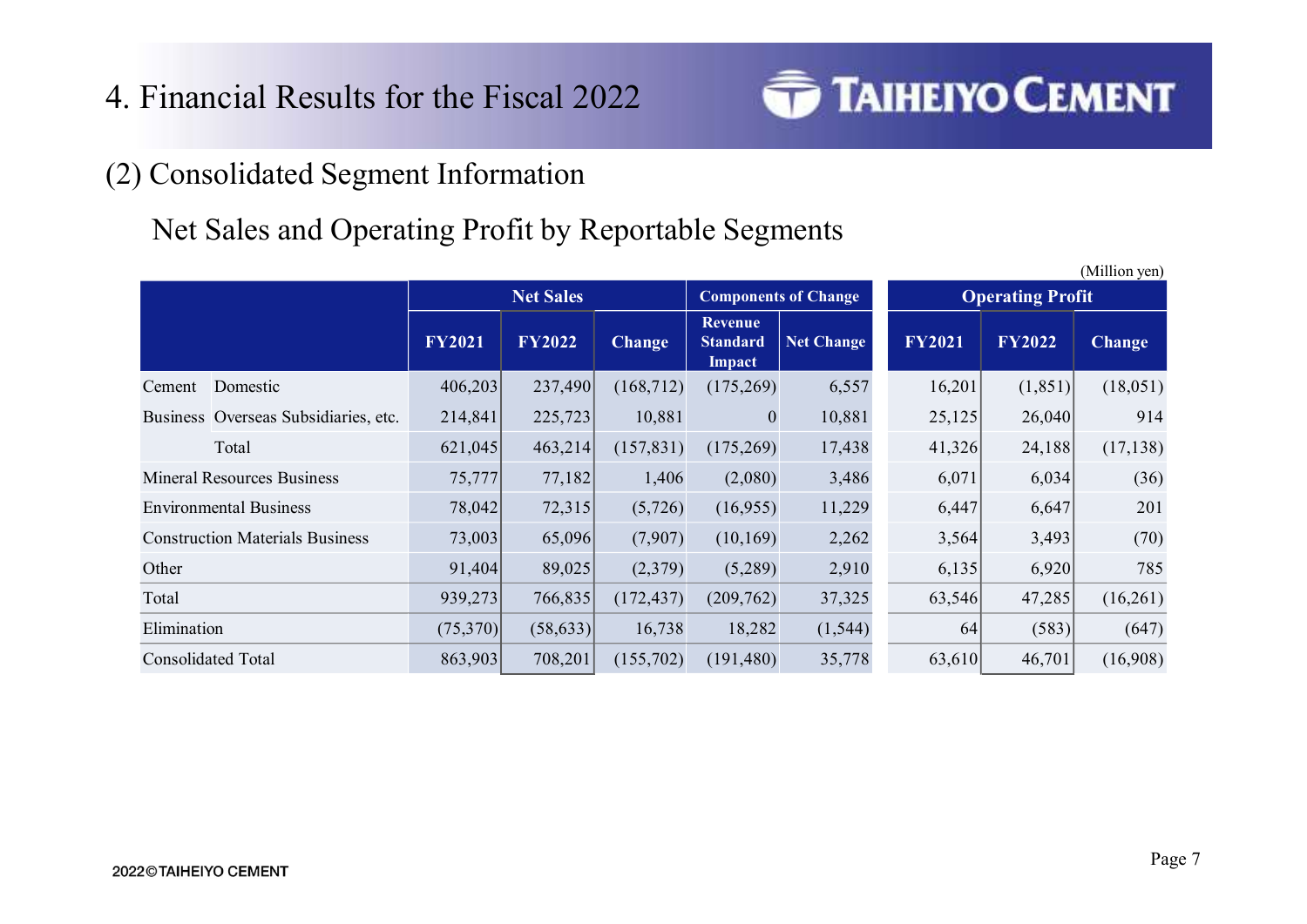

# 4. Financial Results for the Fiscal 2022<br>
(2) Consolidated Segment Information<br>
Net Sales and Operating Profit by Reportable Segmen Net Sales and Operating Profit by Reportable Segments

|                                                       |               |                  | Financial Results for the Fiscal 2022 |                                        |            | <b>TAIHEIYO CEMENT</b> |                         |               |
|-------------------------------------------------------|---------------|------------------|---------------------------------------|----------------------------------------|------------|------------------------|-------------------------|---------------|
|                                                       |               |                  |                                       |                                        |            |                        |                         |               |
| <b>Consolidated Segment Information</b>               |               |                  |                                       |                                        |            |                        |                         |               |
|                                                       |               |                  |                                       |                                        |            |                        |                         |               |
| Net Sales and Operating Profit by Reportable Segments |               |                  |                                       |                                        |            |                        |                         |               |
|                                                       |               |                  |                                       |                                        |            |                        |                         | (Million yen) |
|                                                       |               | <b>Net Sales</b> |                                       | <b>Components of Change</b><br>Revenue |            |                        | <b>Operating Profit</b> |               |
|                                                       | <b>FY2021</b> | <b>FY2022</b>    | <b>Change</b>                         | <b>Standard</b><br>Impact              | Net Change | <b>FY2021</b>          | <b>FY2022</b>           | <b>Change</b> |
| Cement Domestic                                       | 406,203       | 237,490          | (168,712)                             | (175,269)                              | 6,557      | 16,201                 | (1, 851)                | (18,051)      |
|                                                       |               |                  |                                       |                                        |            |                        |                         |               |
| Business Overseas Subsidiaries, etc.                  | 214,841       | 225,723          | 10,881                                | $\mathbf{0}$                           | 10,881     | 25,125                 | 26,040                  | 914           |
| Total                                                 | 621,045       | 463,214          | (157, 831)                            | (175,269)                              | 17,438     | 41,326                 | 24,188                  | (17, 138)     |
| <b>Mineral Resources Business</b>                     | 75,777        | 77,182           | 1,406                                 | (2,080)                                | 3,486      | 6,071                  | 6,034                   | (36)          |
| <b>Environmental Business</b>                         | 78,042        | 72,315           | (5,726)                               | (16,955)                               | 11,229     | 6,447                  | 6,647                   | 201           |
| <b>Construction Materials Business</b>                | 73,003        | 65,096           | (7,907)                               | (10, 169)                              | 2,262      | 3,564                  | 3,493                   | (70)          |
| Other                                                 | 91,404        | 89,025           | (2,379)                               | (5,289)                                | 2,910      | 6,135                  | 6,920                   | 785           |
| Total                                                 | 939,273       | 766,835          | (172, 437)                            | (209,762)                              | 37,325     | 63,546                 | 47,285                  | (16,261)      |
| Elimination                                           | (75,370)      | (58, 633)        | 16,738                                | 18,282                                 | (1, 544)   | 64                     | (583)                   | (647)         |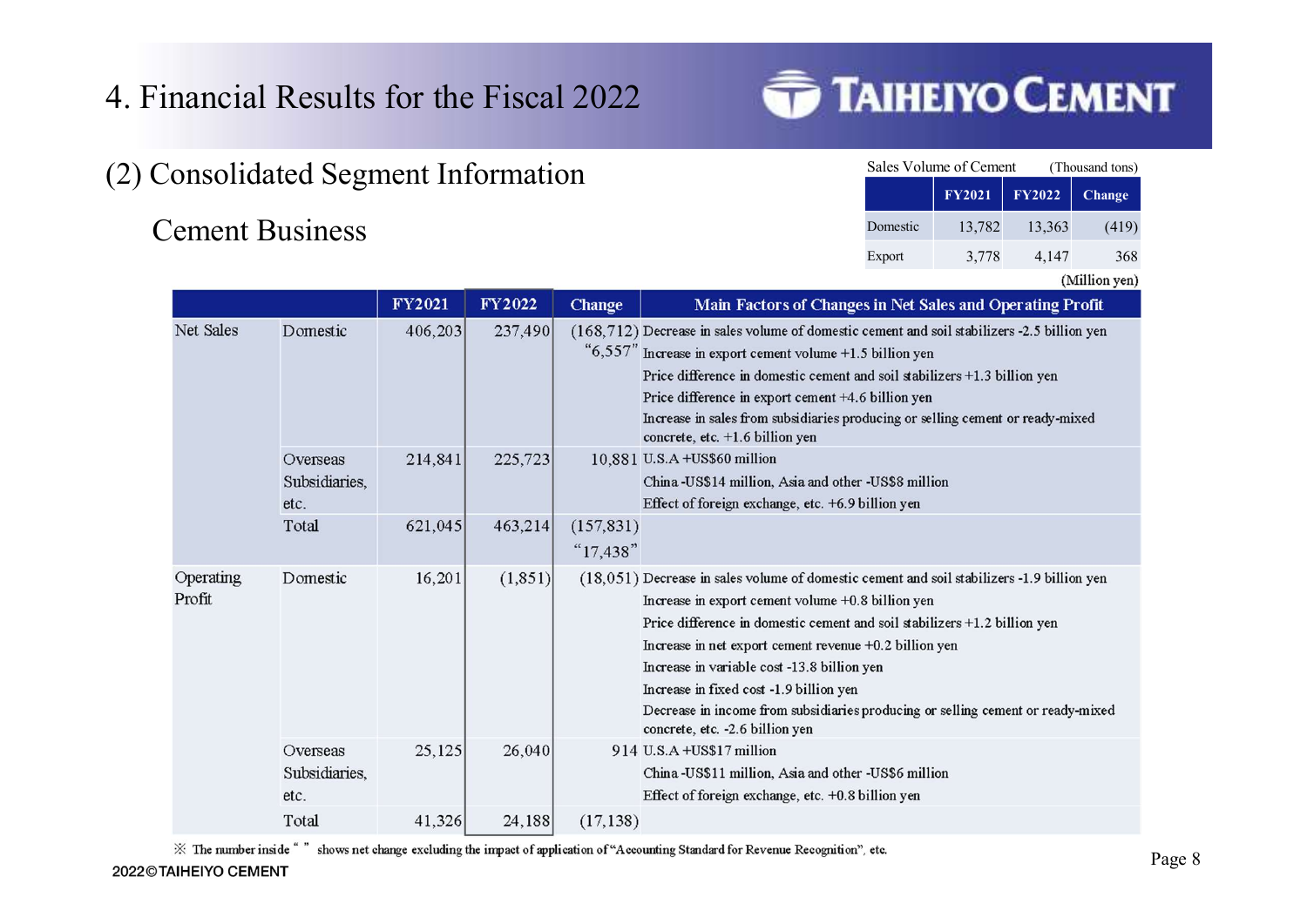- 4. Financial Results for the Fiscal 2022 **TAIHEIYO CEMENT** 4. Financial Results for the Fiscal 2022<br>(2) Consolidated Segment Information<br>Cement Business
- 

|               | <b>AIHEIYO CEMENT</b>                        |               |                 |
|---------------|----------------------------------------------|---------------|-----------------|
|               |                                              |               |                 |
|               |                                              |               |                 |
|               | Sales Volume of Cement                       |               | (Thousand tons) |
|               | <b>FY2021</b>                                | <b>FY2022</b> | <b>Change</b>   |
| Domestic      | 13,782                                       | 13,363        | (419)           |
| Export        | 3,778                                        | 4,147         | 368             |
|               |                                              |               | (Million yen)   |
|               | es in Net Sales and Operating Profit         |               |                 |
|               | cement and soil stabilizers -2.5 billion yen |               |                 |
| 5 billion yen |                                              |               |                 |

|                     | inancial Results for the Fiscal 2022<br><b>Consolidated Segment Information</b> |         |          |                            | <b>TAIHEIYO CEMEN</b>                                                                                                                                                                                                                                                                                                                                                                                                                                                                                  | Sales Volume of Cement<br><b>FY2021</b> | <b>FY2022</b> | (Thousand tons)<br>Change |
|---------------------|---------------------------------------------------------------------------------|---------|----------|----------------------------|--------------------------------------------------------------------------------------------------------------------------------------------------------------------------------------------------------------------------------------------------------------------------------------------------------------------------------------------------------------------------------------------------------------------------------------------------------------------------------------------------------|-----------------------------------------|---------------|---------------------------|
|                     | <b>Cement Business</b>                                                          |         |          |                            | Domestic                                                                                                                                                                                                                                                                                                                                                                                                                                                                                               | 13,782                                  | 13,363        | (419)                     |
|                     |                                                                                 |         |          |                            | Export                                                                                                                                                                                                                                                                                                                                                                                                                                                                                                 | 3,778                                   | 4,147         | 368                       |
|                     |                                                                                 | FY2021  | FY2022   | Change                     | Main Factors of Changes in Net Sales and Operating Profit                                                                                                                                                                                                                                                                                                                                                                                                                                              |                                         |               | (Million yen)             |
| Net Sales           | Domestic                                                                        | 406,203 | 237,490  |                            | (168,712) Decrease in sales volume of domestic cement and soil stabilizers -2.5 billion yen<br>"6,557" Increase in export cement volume +1.5 billion yen<br>Price difference in domestic cement and soil stabilizers +1.3 billion yen<br>Price difference in export cement +4.6 billion yen<br>Increase in sales from subsidiaries producing or selling cement or ready-mixed<br>concrete, etc. +1.6 billion yen                                                                                       |                                         |               |                           |
|                     | Overseas<br>Subsidiaries,<br>etc.                                               | 214,841 | 225,723  |                            | 10,881 U.S.A +US\$60 million<br>China-US\$14 million, Asia and other -US\$8 million<br>Effect of foreign exchange, etc. +6.9 billion yen                                                                                                                                                                                                                                                                                                                                                               |                                         |               |                           |
|                     | Total                                                                           | 621,045 | 463,214  | (157, 831)<br>" $17,438$ " |                                                                                                                                                                                                                                                                                                                                                                                                                                                                                                        |                                         |               |                           |
| Operating<br>Profit | Domestic                                                                        | 16,201  | (1, 851) |                            | (18,051) Decrease in sales volume of domestic cement and soil stabilizers -1.9 billion yen<br>Increase in export cement volume +0.8 billion yen<br>Price difference in domestic cement and soil stabilizers +1.2 billion yen<br>Increase in net export cement revenue +0.2 billion yen<br>Increase in variable cost -13.8 billion yen<br>Increase in fixed cost -1.9 billion yen<br>Decrease in income from subsidiaries producing or selling cement or ready-mixed<br>concrete, etc. -2.6 billion yen |                                         |               |                           |
|                     | Overseas<br>Subsidiaries,<br>etc.                                               | 25,125  | 26,040   |                            | 914 U.S.A +US\$17 million<br>China-US\$11 million, Asia and other -US\$6 million<br>Effect of foreign exchange, etc. +0.8 billion yen                                                                                                                                                                                                                                                                                                                                                                  |                                         |               |                           |
|                     | Total                                                                           | 41,326  | 24,188   | (17, 138)                  |                                                                                                                                                                                                                                                                                                                                                                                                                                                                                                        |                                         |               |                           |
|                     |                                                                                 |         |          |                            |                                                                                                                                                                                                                                                                                                                                                                                                                                                                                                        |                                         |               |                           |

\* The number inside " " shows net change excluding the impact of application of "Accounting Standard for Revenue Recognition", etc.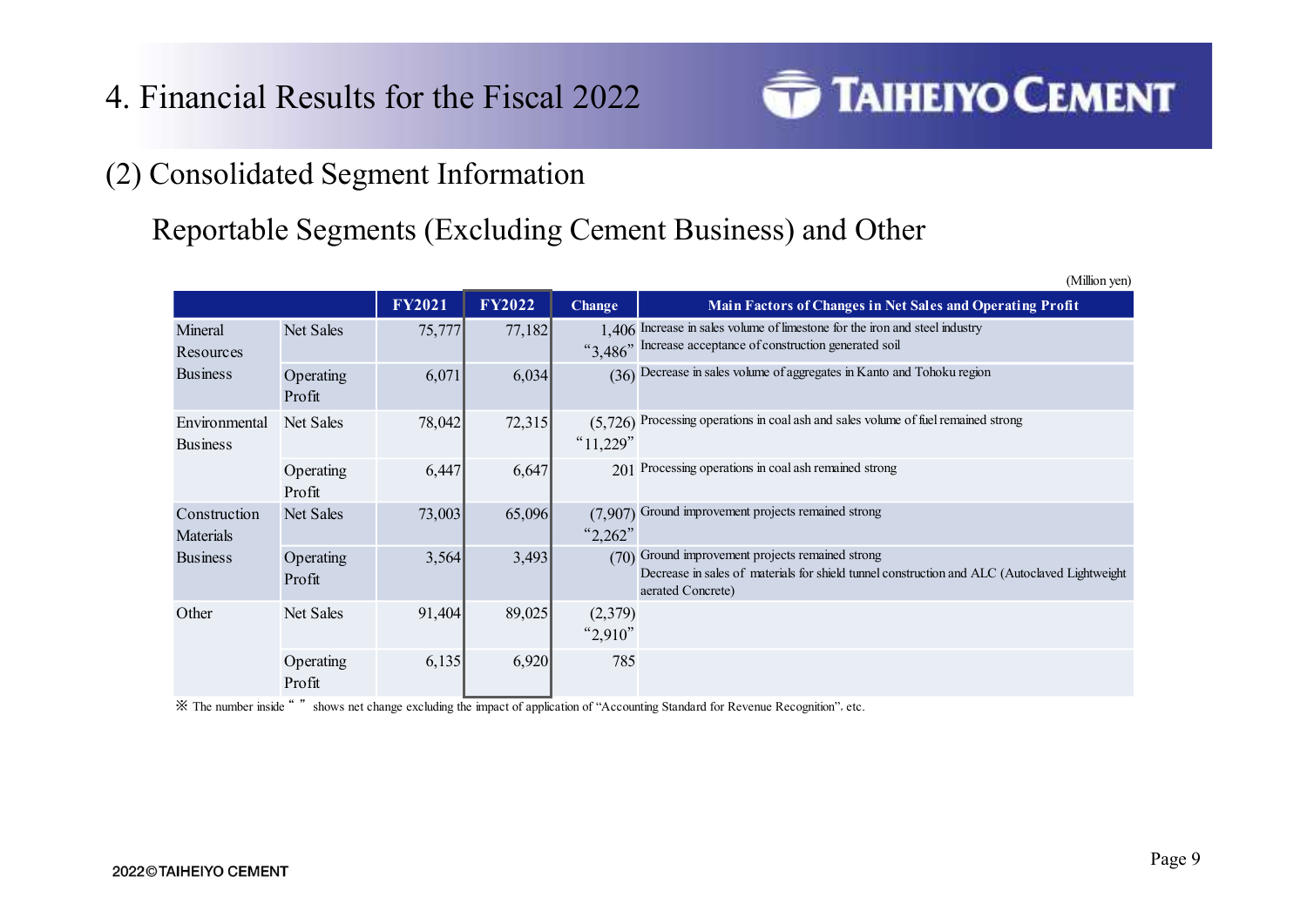

# 4. Financial Results for the Fiscal 2022<br>
(2) Consolidated Segment Information<br>
Reportable Segments (Excluding Cement Business) and Reportable Segments (Excluding Cement Business) and Other

|                                  |                     | <b>Example 3</b> Degment Information |               |                        |                                                                                                                                                                        |
|----------------------------------|---------------------|--------------------------------------|---------------|------------------------|------------------------------------------------------------------------------------------------------------------------------------------------------------------------|
|                                  |                     |                                      |               |                        |                                                                                                                                                                        |
|                                  |                     |                                      |               |                        |                                                                                                                                                                        |
|                                  |                     |                                      |               |                        | eportable Segments (Excluding Cement Business) and Other                                                                                                               |
|                                  |                     |                                      |               |                        | (Million yen)                                                                                                                                                          |
|                                  |                     | <b>FY2021</b>                        | <b>FY2022</b> | <b>Change</b>          | Main Factors of Changes in Net Sales and Operating Profit                                                                                                              |
| Mineral<br>Resources             | Net Sales           | 75,777                               | 77,182        |                        | 1,406 Increase in sales volume of limestone for the iron and steel industry<br>"3.486" Increase acceptance of construction generated soil                              |
| <b>Business</b>                  | Operating<br>Profit | 6,071                                | 6,034         |                        | (36) Decrease in sales volume of aggregates in Kanto and Tohoku region                                                                                                 |
| Environmental<br><b>Business</b> | Net Sales           | 78,042                               | 72,315        | " $11,229$ "           | $(5,726)$ Processing operations in coal ash and sales volume of fuel remained strong                                                                                   |
|                                  | Operating           | 6,447                                | 6,647         |                        | 201 Processing operations in coal ash remained strong                                                                                                                  |
|                                  | Profit              |                                      |               |                        |                                                                                                                                                                        |
| Construction<br>Materials        | Net Sales           | 73,003                               | 65,096        | (7,907)<br>" $2,262$ " | Ground improvement projects remained strong                                                                                                                            |
| <b>Business</b>                  | Operating<br>Profit | 3,564                                | 3,493         |                        | (70) Ground improvement projects remained strong<br>Decrease in sales of materials for shield tunnel construction and ALC (Autoclaved Lightweight<br>aerated Concrete) |
| Other                            | Net Sales           | 91,404                               | 89,025        | (2,379)<br>2,910"      |                                                                                                                                                                        |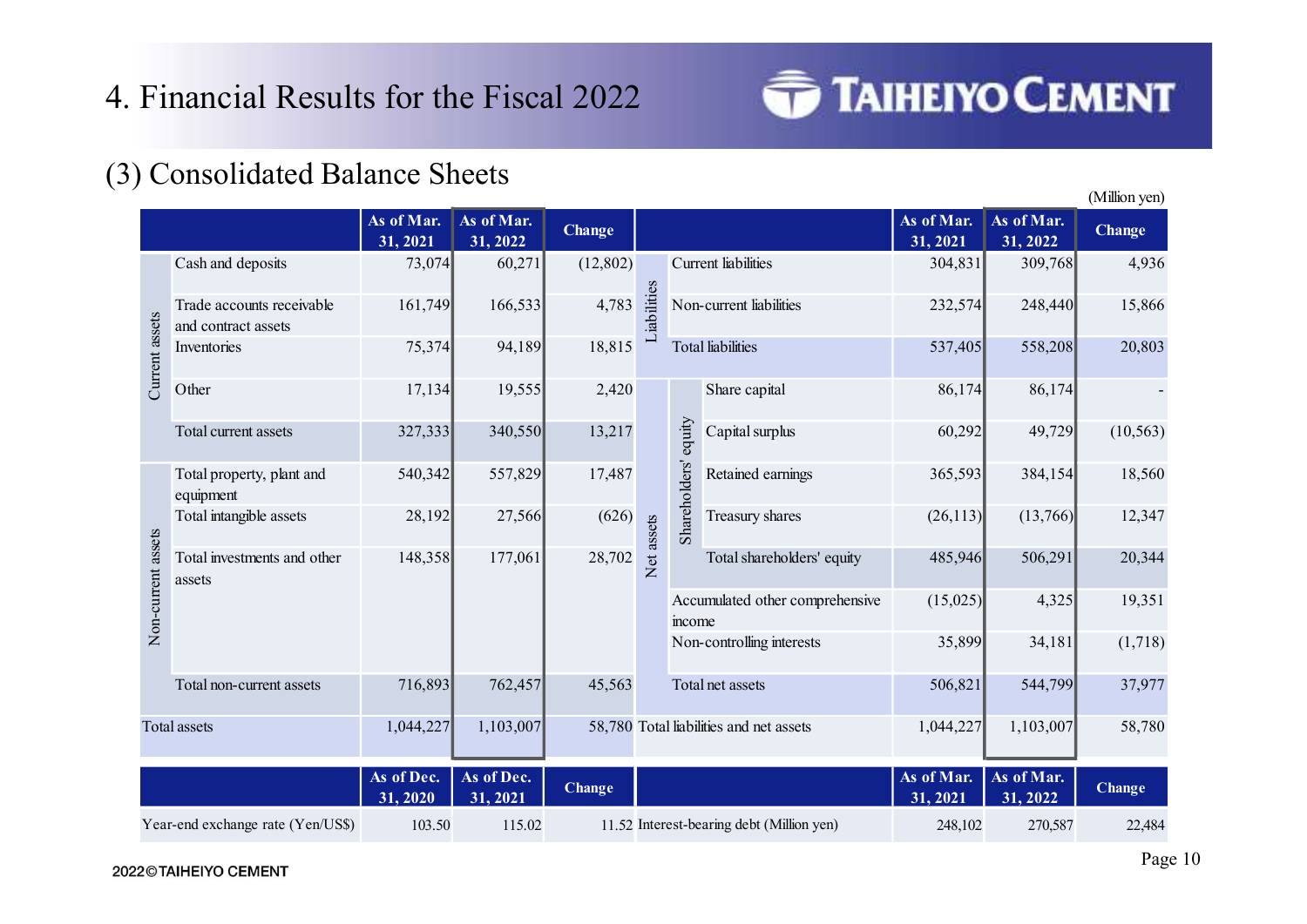

|             | 4. Financial Results for the Fiscal 2022 |                    |                    |               |                 |                                              |                     | <b>TAIHEIYO CEMENT</b> |               |
|-------------|------------------------------------------|--------------------|--------------------|---------------|-----------------|----------------------------------------------|---------------------|------------------------|---------------|
|             | (3) Consolidated Balance Sheets          |                    |                    |               |                 |                                              |                     |                        | (Million yen) |
|             |                                          | As of Mar.         | As of Mar.         | <b>Change</b> |                 |                                              | As of Mar.          | As of Mar.             | <b>Change</b> |
|             | Cash and deposits                        | 31, 2021<br>73,074 | 31, 2022<br>60,271 | (12,802)      |                 | Current liabilities                          | 31, 2021<br>304,831 | 31, 2022<br>309,768    | 4,936         |
|             | Trade accounts receivable                | 161,749            | 166,533            | 4,783         | 89<br>iabilitie | Non-current liabilities                      | 232,574             | 248,440                | 15,866        |
| assets      | and contract assets<br>Inventories       | 75,374             | 94,189             | 18,815        |                 | <b>Total liabilities</b>                     | 537,405             | 558,208                | 20,803        |
| Current     | Other                                    | 17,134             | 19,555             | 2,420         |                 | Share capital                                | 86,174              | 86,174                 |               |
|             | Total current assets                     | 327,333            | 340,550            | 13,217        |                 | equity<br>Capital surplus                    | 60,292              | 49,729                 | (10, 563)     |
|             | Total property, plant and<br>equipment   | 540,342            | 557,829            | 17,487        |                 | $\overline{\mathrm{S}}$<br>Retained earnings | 365,593             | 384,154                | 18,560        |
|             | Total intangible assets                  | 28,192             | 27,566             | (626)         |                 | Shareholde<br>Treasury shares                | (26,113)            | (13,766)               | 12,347        |
| assets      | Total investments and other<br>assets    | 148,358            | 177,061            | 28,702        | Net assets      | Total shareholders' equity                   | 485,946             | 506,291                | 20,344        |
| Non-current |                                          |                    |                    |               |                 | Accumulated other comprehensive<br>income    | (15,025)            | 4,325                  | 19,351        |
|             |                                          |                    |                    |               |                 | Non-controlling interests                    | 35,899              | 34,181                 | (1,718)       |
|             | Total non-current assets                 | 716,893            | 762,457            | 45,563        |                 | Total net assets                             | 506,821             | 544,799                | 37,977        |
|             | Total assets                             | 1,044,227          | 1,103,007          |               |                 | 58,780 Total liabilities and net assets      | 1,044,227           | 1,103,007              | 58,780        |
|             |                                          | As of Dec.         | As of Dec.         | Change        |                 |                                              | As of Mar. $\vert$  | As of Mar.             | <b>Change</b> |
|             |                                          | 31, 2020           | 31, 2021           |               |                 |                                              | 31, 2021            | 31, 2022               |               |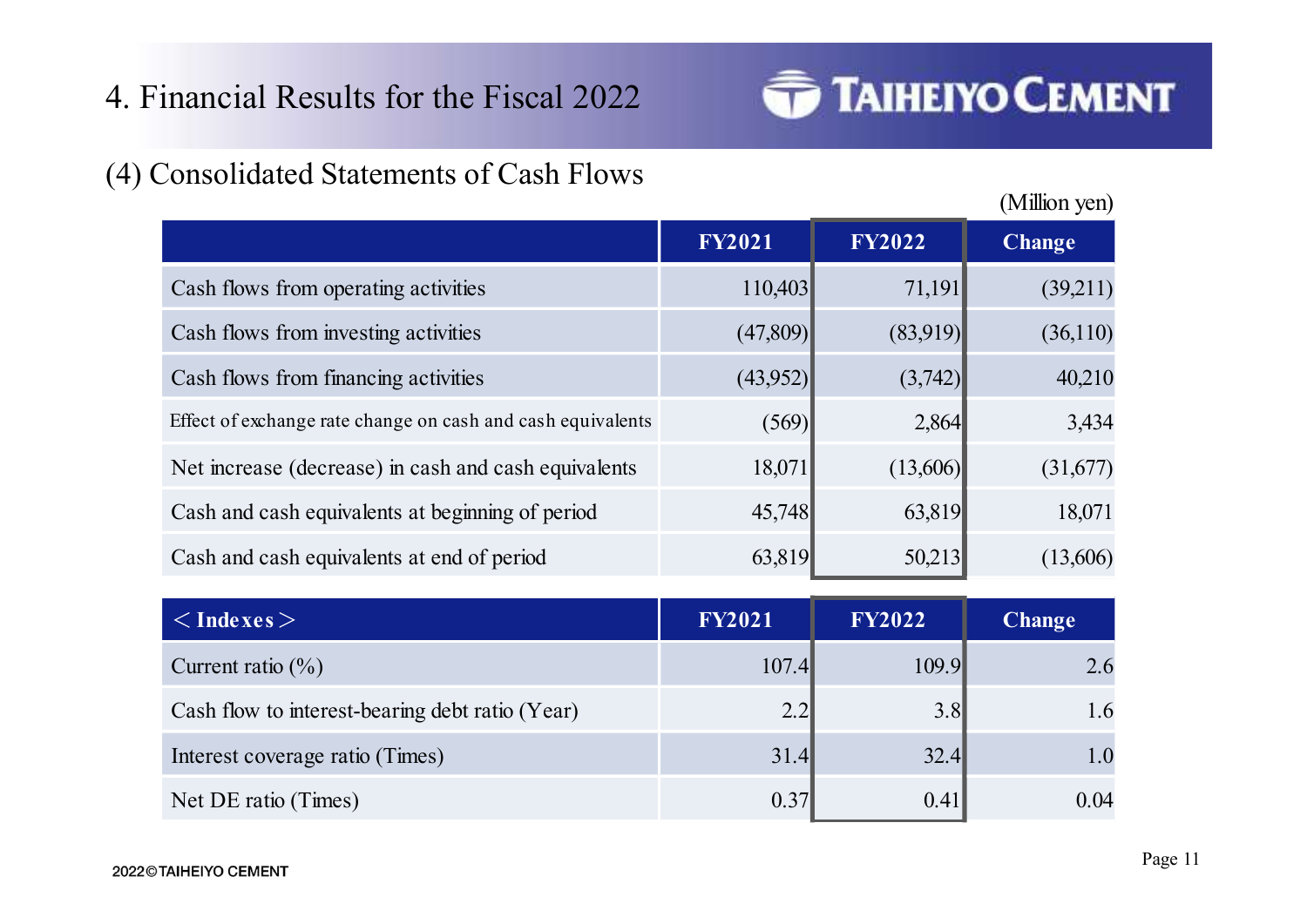

| 4. Financial Results for the Fiscal 2022                    |               |               | <b>TAIHEIYO CEMENT</b> |
|-------------------------------------------------------------|---------------|---------------|------------------------|
| (4) Consolidated Statements of Cash Flows                   |               |               | (Million yen)          |
|                                                             | <b>FY2021</b> | <b>FY2022</b> | <b>Change</b>          |
| Cash flows from operating activities                        | 110,403       | 71,191        | (39,211)               |
| Cash flows from investing activities                        | (47,809)      | (83,919)      | (36,110)               |
| Cash flows from financing activities                        | (43,952)      | (3,742)       | 40,210                 |
| Effect of exchange rate change on cash and cash equivalents | (569)         | 2,864         | 3,434                  |
| Net increase (decrease) in cash and cash equivalents        | 18,071        | (13,606)      | (31,677)               |
| Cash and cash equivalents at beginning of period            | 45,748        | 63,819        | 18,071                 |
| Cash and cash equivalents at end of period                  | 63,819        | 50,213        | (13,606)               |
| $<$ Indexes $>$                                             | <b>FY2021</b> | <b>FY2022</b> | <b>Change</b>          |
| Current ratio $(\% )$                                       | 107.4         | 109.9         | 2.6                    |
| Cash flow to interest-bearing debt ratio (Year)             | 2.2           | 3.8           | 1.6                    |
| Interest coverage ratio (Times)                             | 31.4          | 32.4          | 1.0                    |
| Net DE ratio (Times)                                        | 0.37          | 0.41          | 0.04                   |

| Cash flows from financing activities                        | (43,952)      | (3,742)       | 40,210        |
|-------------------------------------------------------------|---------------|---------------|---------------|
| Effect of exchange rate change on cash and cash equivalents | (569)         | 2,864         | 3,434         |
| Net increase (decrease) in cash and cash equivalents        | 18,071        | (13,606)      | (31,677)      |
| Cash and cash equivalents at beginning of period            | 45,748        | 63,819        | 18,071        |
| Cash and cash equivalents at end of period                  | 63,819        | 50,213        | (13,606)      |
| $\langle$ Indexes $>$                                       | <b>FY2021</b> | <b>FY2022</b> | <b>Change</b> |
|                                                             | 107.4         | 109.9         | 2.6           |
| Current ratio $(\%)$                                        |               |               |               |
| Cash flow to interest-bearing debt ratio (Year)             | 2.2           | 3.8           | 1.6           |
| Interest coverage ratio (Times)                             | 31.4          | 32.4          | 1.0           |
| Net DE ratio (Times)                                        | 0.37          | 0.41          | 0.04          |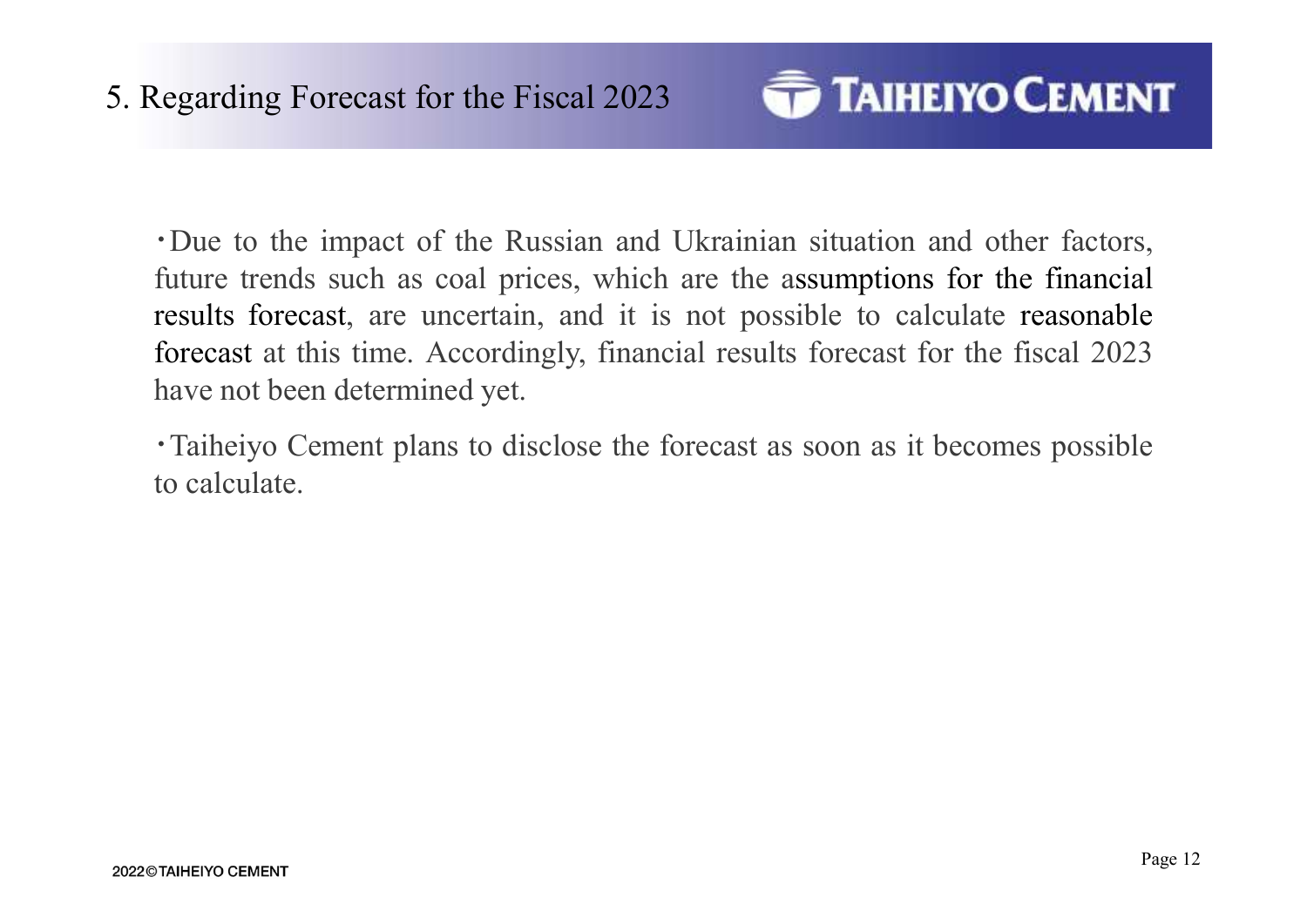

Exercise Segarding Forecast for the Fiscal 2023<br>
• Due to the impact of the Russian and Ukrainian situation and other factors,<br>
future trends such as coal prices, which are the assumptions for the financial<br>
results foreca Future trends such as coal prices, which are the assumptions and other factors,<br>future trends such as coal prices, which are the assumptions for the financial<br>results forecast, are uncertain, and it is not possible to calc results for the Fiscal 2023<br> **TAIHEIYO CEMENT**<br>
TO TAIHEIYO CEMENT<br>
TO TAIHEIYO CEMENT<br>
TO TAIHEIYO CEMENT<br>
TO TAIHEIYO CEMENT<br>
TO TAIHEIYO CEMENT<br>
for the financial<br>
results forecast, are uncertain, and it is not possible Forecast for the Fiscal 2023<br> **FAIHEIYO CEMENT**<br>
TO TO the impact of the Russian and Ukrainian situation and other factors,<br>
future trends such as coal prices, which are the assumptions for the financial<br>
results forecast, **FAIHEIYO CEMENT**<br>
•Due to the impact of the Russian and Ukrainian situation and other factors,<br>
future trends such as coal prices, which are the assumptions for the financial<br>
results forecast, are uncertain, and it is no Regarding Forecast for the Fiscal 2023<br>
Or the impact of the Russian and U<br>
future trends such as coal prices, which a<br>
results forecast, are uncertain, and it is r<br>
forecast at this time. Accordingly, financia<br>
have not b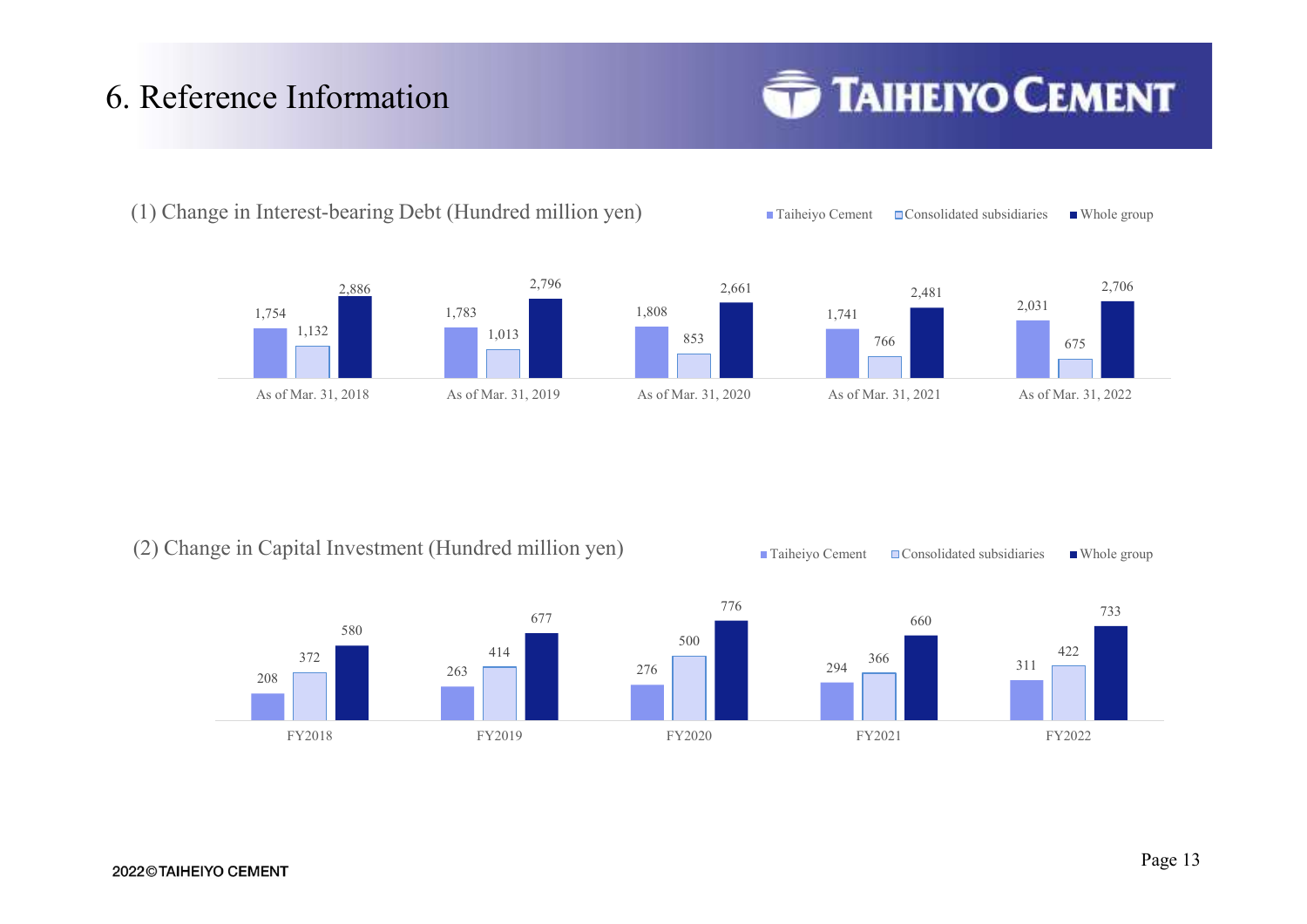# 6. Reference Information



(2) Change in Capital Investment (Hundred million yen) Taiheiyo Cement Consolidated subsidiaries Whole group





(1) Change in Interest-bearing Debt (Hundred million yen) Taiheiyo Cement Consolidated subsidiaries Whole group

2022©TAIHEIYO CEMENT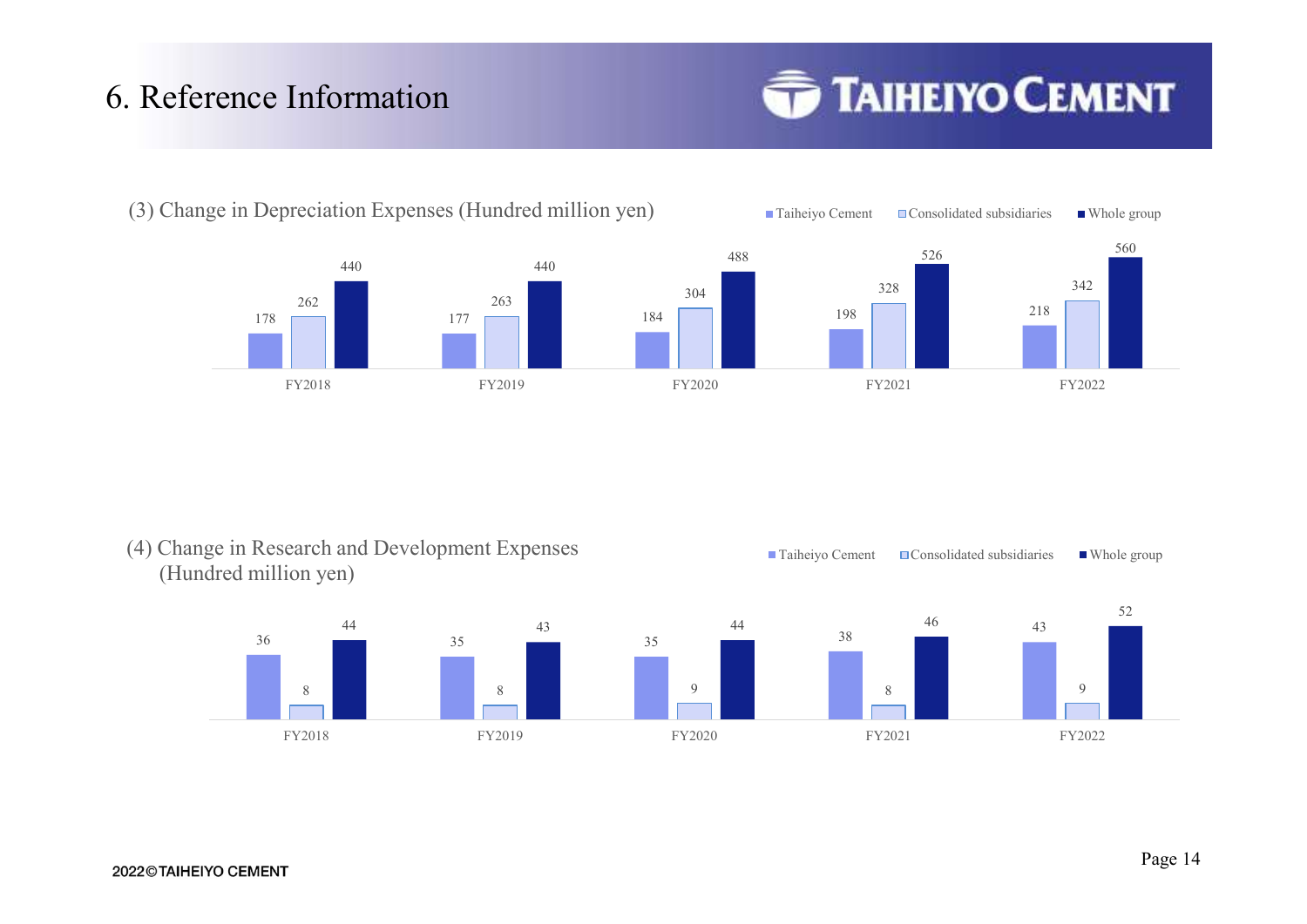## 6. Reference Information



(3) Change in Depreciation Expenses (Hundred million yen) Taiheiyo Cement Consolidated subsidiaries Whole group





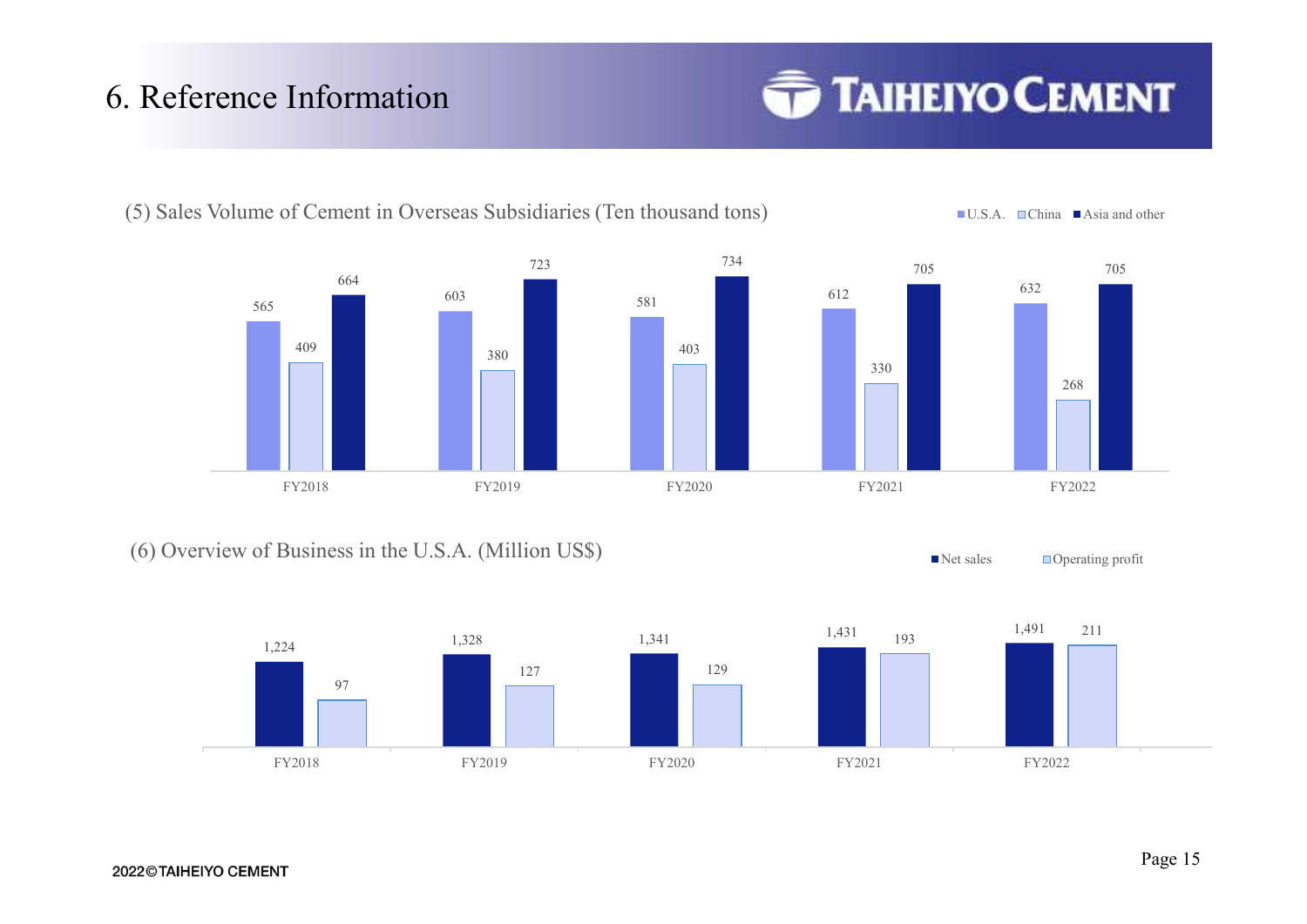# 6. Reference Information



(6) Overview of Business in the U.S.A. (Million US\$)  $\blacksquare$  Net sales  $\blacksquare$  Operating profit





(5) Sales Volume of Cement in Overseas Subsidiaries (Ten thousand tons) U.S.A. China Asia and other